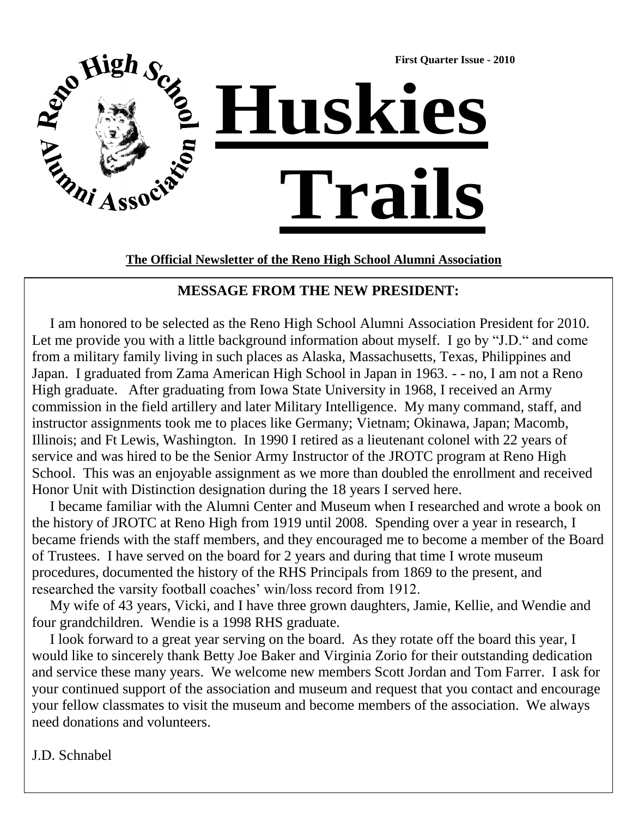

**The Official Newsletter of the Reno High School Alumni Association**

#### **MESSAGE FROM THE NEW PRESIDENT:**

 I am honored to be selected as the Reno High School Alumni Association President for 2010. Let me provide you with a little background information about myself. I go by "J.D." and come from a military family living in such places as Alaska, Massachusetts, Texas, Philippines and Japan. I graduated from Zama American High School in Japan in 1963. - - no, I am not a Reno High graduate. After graduating from Iowa State University in 1968, I received an Army commission in the field artillery and later Military Intelligence. My many command, staff, and instructor assignments took me to places like Germany; Vietnam; Okinawa, Japan; Macomb, Illinois; and Ft Lewis, Washington. In 1990 I retired as a lieutenant colonel with 22 years of service and was hired to be the Senior Army Instructor of the JROTC program at Reno High School. This was an enjoyable assignment as we more than doubled the enrollment and received Honor Unit with Distinction designation during the 18 years I served here.

 I became familiar with the Alumni Center and Museum when I researched and wrote a book on the history of JROTC at Reno High from 1919 until 2008. Spending over a year in research, I became friends with the staff members, and they encouraged me to become a member of the Board of Trustees. I have served on the board for 2 years and during that time I wrote museum procedures, documented the history of the RHS Principals from 1869 to the present, and researched the varsity football coaches' win/loss record from 1912.

 My wife of 43 years, Vicki, and I have three grown daughters, Jamie, Kellie, and Wendie and four grandchildren. Wendie is a 1998 RHS graduate.

 I look forward to a great year serving on the board. As they rotate off the board this year, I would like to sincerely thank Betty Joe Baker and Virginia Zorio for their outstanding dedication and service these many years. We welcome new members Scott Jordan and Tom Farrer. I ask for your continued support of the association and museum and request that you contact and encourage your fellow classmates to visit the museum and become members of the association. We always need donations and volunteers.

J.D. Schnabel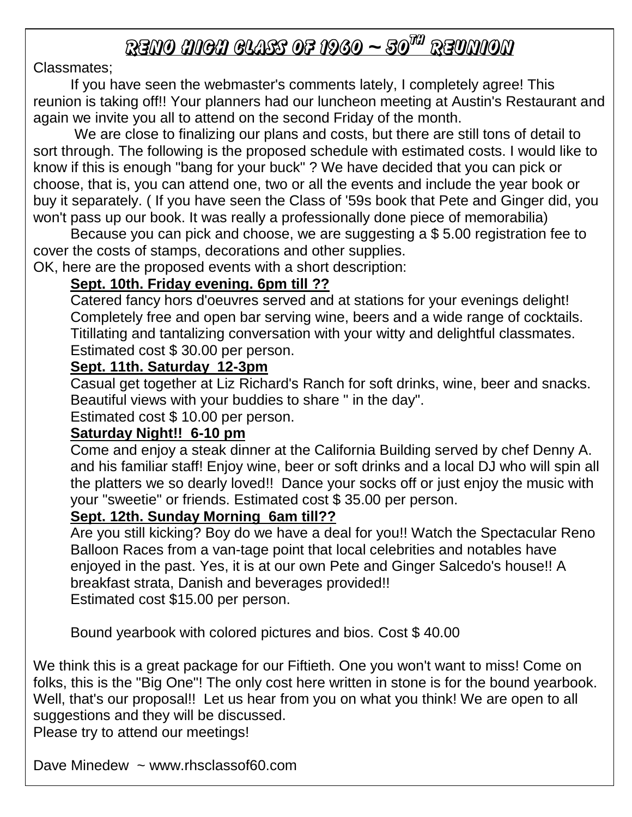# <u>RENO MICH CLASS OF 1960 ~ 50<sup>TH</sup> REUNION</u>

### Classmates;

If you have seen the webmaster's comments lately, I completely agree! This reunion is taking off!! Your planners had our luncheon meeting at Austin's Restaurant and again we invite you all to attend on the second Friday of the month.

We are close to finalizing our plans and costs, but there are still tons of detail to sort through. The following is the proposed schedule with estimated costs. I would like to know if this is enough "bang for your buck" ? We have decided that you can pick or choose, that is, you can attend one, two or all the events and include the year book or buy it separately. ( If you have seen the Class of '59s book that Pete and Ginger did, you won't pass up our book. It was really a professionally done piece of memorabilia)

Because you can pick and choose, we are suggesting a \$ 5.00 registration fee to cover the costs of stamps, decorations and other supplies.

OK, here are the proposed events with a short description:

### **Sept. 10th. Friday evening. 6pm till ??**

Catered fancy hors d'oeuvres served and at stations for your evenings delight! Completely free and open bar serving wine, beers and a wide range of cocktails. Titillating and tantalizing conversation with your witty and delightful classmates. Estimated cost \$ 30.00 per person.

### **Sept. 11th. Saturday 12-3pm**

Casual get together at Liz Richard's Ranch for soft drinks, wine, beer and snacks. Beautiful views with your buddies to share " in the day".

Estimated cost \$ 10.00 per person.

### **Saturday Night!! 6-10 pm**

Come and enjoy a steak dinner at the California Building served by chef Denny A. and his familiar staff! Enjoy wine, beer or soft drinks and a local DJ who will spin all the platters we so dearly loved!! Dance your socks off or just enjoy the music with your "sweetie" or friends. Estimated cost \$ 35.00 per person.

### **Sept. 12th. Sunday Morning 6am till??**

Are you still kicking? Boy do we have a deal for you!! Watch the Spectacular Reno Balloon Races from a van-tage point that local celebrities and notables have enjoyed in the past. Yes, it is at our own Pete and Ginger Salcedo's house!! A breakfast strata, Danish and beverages provided!! Estimated cost \$15.00 per person.

Bound yearbook with colored pictures and bios. Cost \$ 40.00

We think this is a great package for our Fiftieth. One you won't want to miss! Come on folks, this is the "Big One"! The only cost here written in stone is for the bound yearbook. Well, that's our proposal!! Let us hear from you on what you think! We are open to all suggestions and they will be discussed.

Please try to attend our meetings!

Dave Minedew ~ www.rhsclassof60.com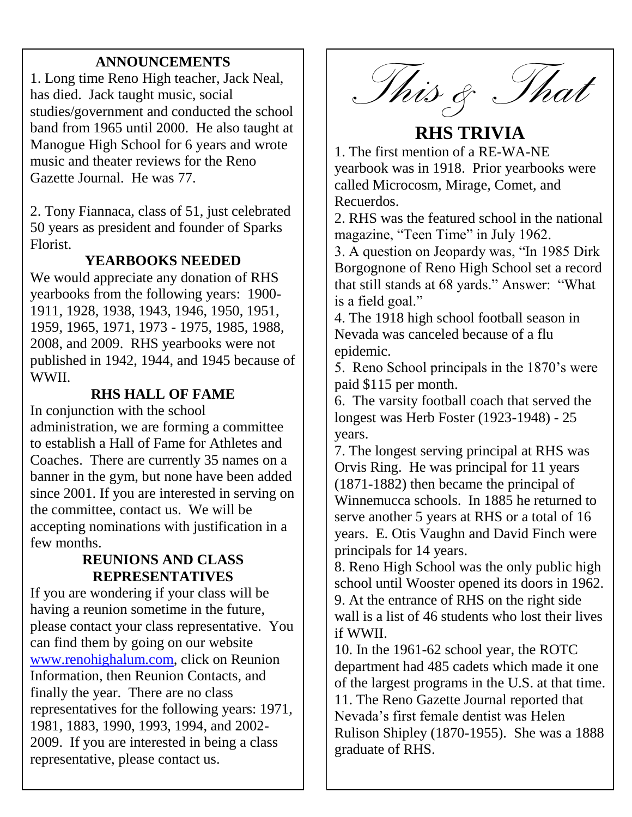### **ANNOUNCEMENTS**

1. Long time Reno High teacher, Jack Neal, has died. Jack taught music, social studies/government and conducted the school band from 1965 until 2000. He also taught at Manogue High School for 6 years and wrote music and theater reviews for the Reno Gazette Journal. He was 77.

2. Tony Fiannaca, class of 51, just celebrated 50 years as president and founder of Sparks Florist.

### **YEARBOOKS NEEDED**

We would appreciate any donation of RHS yearbooks from the following years: 1900- 1911, 1928, 1938, 1943, 1946, 1950, 1951, 1959, 1965, 1971, 1973 - 1975, 1985, 1988, 2008, and 2009. RHS yearbooks were not published in 1942, 1944, and 1945 because of WWII.

### **RHS HALL OF FAME**

In conjunction with the school administration, we are forming a committee to establish a Hall of Fame for Athletes and Coaches. There are currently 35 names on a banner in the gym, but none have been added since 2001. If you are interested in serving on the committee, contact us. We will be accepting nominations with justification in a few months.

#### **REUNIONS AND CLASS REPRESENTATIVES**

If you are wondering if your class will be having a reunion sometime in the future, please contact your class representative. You can find them by going on our website [www.renohighalum.com,](http://www.renohighalum.com/) click on Reunion Information, then Reunion Contacts, and finally the year. There are no class representatives for the following years: 1971, 1981, 1883, 1990, 1993, 1994, and 2002- 2009. If you are interested in being a class representative, please contact us.

FREE YEARS (1995) (1996) (1996) (1996) (1996) (1996) (1996) (1996) (1996) (1996) (1996) (1996) (1996) (1996) (

*This & That*

## **RHS TRIVIA**

1. The first mention of a RE-WA-NE yearbook was in 1918. Prior yearbooks were called Microcosm, Mirage, Comet, and Recuerdos.

2. RHS was the featured school in the national magazine, "Teen Time" in July 1962.

3. A question on Jeopardy was, "In 1985 Dirk Borgognone of Reno High School set a record that still stands at 68 yards." Answer: "What is a field goal."

4. The 1918 high school football season in Nevada was canceled because of a flu epidemic.

5. Reno School principals in the 1870's were paid \$115 per month.

6. The varsity football coach that served the longest was Herb Foster (1923-1948) - 25 years.

7. The longest serving principal at RHS was Orvis Ring. He was principal for 11 years (1871-1882) then became the principal of Winnemucca schools. In 1885 he returned to serve another 5 years at RHS or a total of 16 years. E. Otis Vaughn and David Finch were principals for 14 years.

8. Reno High School was the only public high school until Wooster opened its doors in 1962. 9. At the entrance of RHS on the right side wall is a list of 46 students who lost their lives if WWII.

10. In the 1961-62 school year, the ROTC department had 485 cadets which made it one of the largest programs in the U.S. at that time. 11. The Reno Gazette Journal reported that Nevada's first female dentist was Helen Rulison Shipley (1870-1955). She was a 1888 graduate of RHS.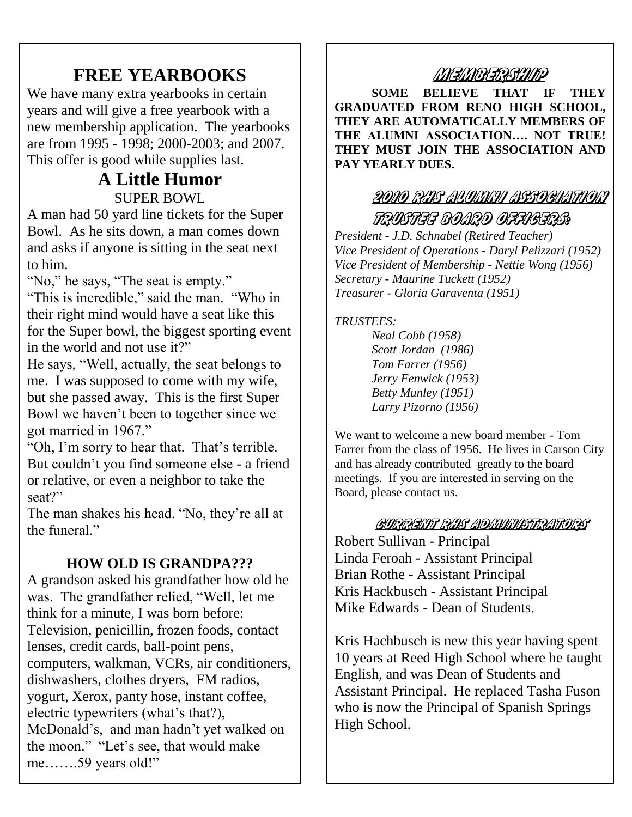## **FREE YEARBOOKS**

We have many extra yearbooks in certain years and will give a free yearbook with a new membership application. The yearbooks are from 1995 - 1998; 2000-2003; and 2007. This offer is good while supplies last.

### **A Little Humor** SUPER BOWL

A man had 50 yard line tickets for the Super Bowl. As he sits down, a man comes down and asks if anyone is sitting in the seat next to him.

"No," he says, "The seat is empty."

"This is incredible," said the man. "Who in their right mind would have a seat like this for the Super bowl, the biggest sporting event in the world and not use it?"

He says, "Well, actually, the seat belongs to me. I was supposed to come with my wife, but she passed away. This is the first Super Bowl we haven't been to together since we got married in 1967."

"Oh, I'm sorry to hear that. That's terrible. But couldn't you find someone else - a friend or relative, or even a neighbor to take the seat?"

The man shakes his head. "No, they're all at the funeral"

### **HOW OLD IS GRANDPA???**

A grandson asked his grandfather how old he was. The grandfather relied, "Well, let me think for a minute, I was born before: Television, penicillin, frozen foods, contact lenses, credit cards, ball-point pens, computers, walkman, VCRs, air conditioners, dishwashers, clothes dryers, FM radios, yogurt, Xerox, panty hose, instant coffee, electric typewriters (what's that?), McDonald's, and man hadn't yet walked on the moon." "Let's see, that would make me…….59 years old!"

### MEMBERSHIMP

**SOME BELIEVE THAT IF THEY GRADUATED FROM RENO HIGH SCHOOL, THEY ARE AUTOMATICALLY MEMBERS OF THE ALUMNI ASSOCIATION…. NOT TRUE! THEY MUST JOIN THE ASSOCIATION AND PAY YEARLY DUES.**

### 2010 RHE ALUMAN AESOCIATION

### TRUSTEE BOARD OFFIGERS?

*President - J.D. Schnabel (Retired Teacher) Vice President of Operations - Daryl Pelizzari (1952) Vice President of Membership - Nettie Wong (1956) Secretary - Maurine Tuckett (1952) Treasurer - Gloria Garaventa (1951)*

#### *TRUSTEES:*

*Neal Cobb (1958) Scott Jordan (1986) Tom Farrer (1956) Jerry Fenwick (1953) Betty Munley (1951) Larry Pizorno (1956)*

We want to welcome a new board member - Tom Farrer from the class of 1956. He lives in Carson City and has already contributed greatly to the board meetings. If you are interested in serving on the Board, please contact us.

#### GURRENT RIIS ADIMINISTRATORS

Robert Sullivan - Principal Linda Feroah - Assistant Principal Brian Rothe - Assistant Principal Kris Hackbusch - Assistant Principal Mike Edwards - Dean of Students.

Kris Hachbusch is new this year having spent 10 years at Reed High School where he taught English, and was Dean of Students and Assistant Principal. He replaced Tasha Fuson who is now the Principal of Spanish Springs High School.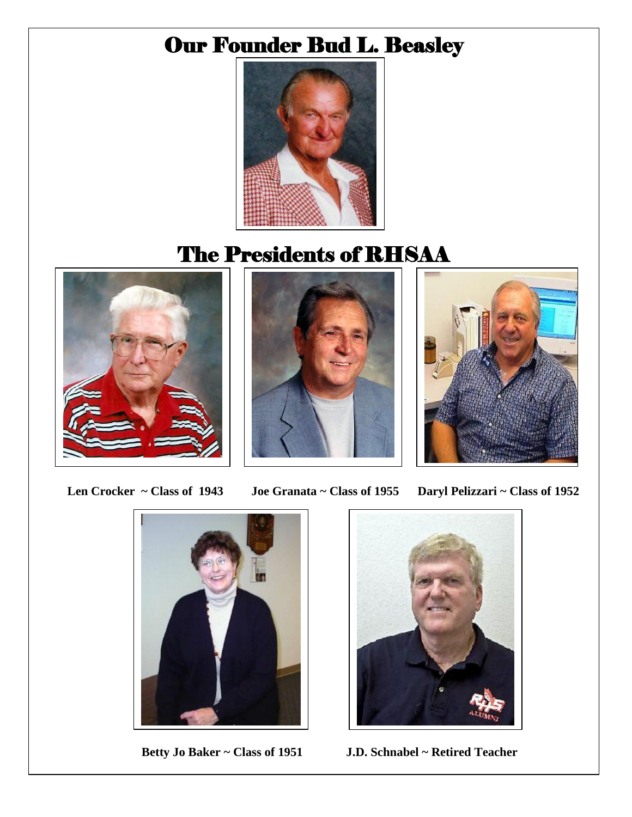# Our Founder Bud L. Beasley



# The Presidents of RHSAA







 **Len Crocker ~ Class of 1943 Joe Granata ~ Class of 1955 Daryl Pelizzari ~ Class of 1952**





 **Betty Jo Baker ~ Class of 1951 J.D. Schnabel ~ Retired Teacher**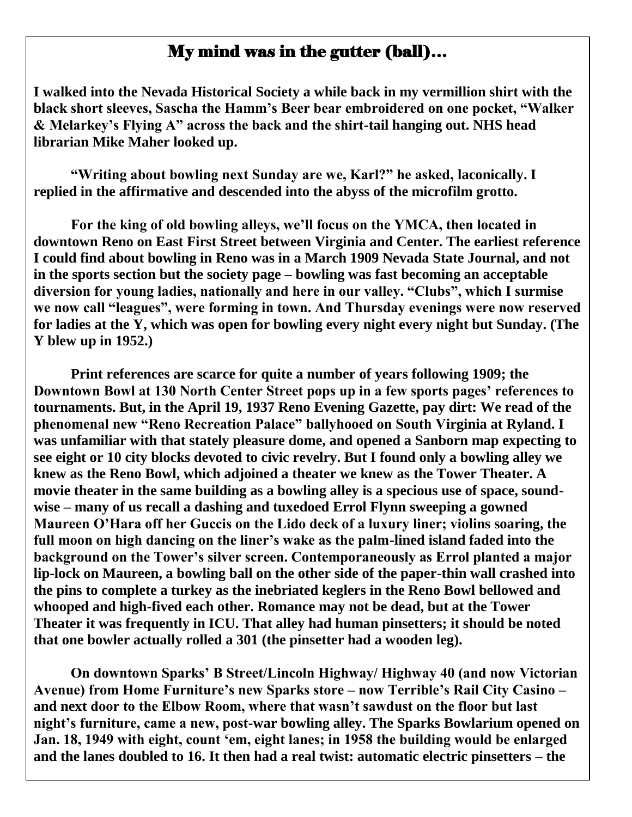### My mind was in the gutter (ball)…

**I walked into the Nevada Historical Society a while back in my vermillion shirt with the black short sleeves, Sascha the Hamm"s Beer bear embroidered on one pocket, "Walker & Melarkey"s Flying A" across the back and the shirt-tail hanging out. NHS head librarian Mike Maher looked up.**

**"Writing about bowling next Sunday are we, Karl?" he asked, laconically. I replied in the affirmative and descended into the abyss of the microfilm grotto.**

**For the king of old bowling alleys, we"ll focus on the YMCA, then located in downtown Reno on East First Street between Virginia and Center. The earliest reference I could find about bowling in Reno was in a March 1909 Nevada State Journal, and not in the sports section but the society page – bowling was fast becoming an acceptable diversion for young ladies, nationally and here in our valley. "Clubs", which I surmise we now call "leagues", were forming in town. And Thursday evenings were now reserved for ladies at the Y, which was open for bowling every night every night but Sunday. (The Y blew up in 1952.)**

**Print references are scarce for quite a number of years following 1909; the Downtown Bowl at 130 North Center Street pops up in a few sports pages" references to tournaments. But, in the April 19, 1937 Reno Evening Gazette, pay dirt: We read of the phenomenal new "Reno Recreation Palace" ballyhooed on South Virginia at Ryland. I was unfamiliar with that stately pleasure dome, and opened a Sanborn map expecting to see eight or 10 city blocks devoted to civic revelry. But I found only a bowling alley we knew as the Reno Bowl, which adjoined a theater we knew as the Tower Theater. A movie theater in the same building as a bowling alley is a specious use of space, soundwise – many of us recall a dashing and tuxedoed Errol Flynn sweeping a gowned Maureen O"Hara off her Guccis on the Lido deck of a luxury liner; violins soaring, the full moon on high dancing on the liner"s wake as the palm-lined island faded into the background on the Tower"s silver screen. Contemporaneously as Errol planted a major lip-lock on Maureen, a bowling ball on the other side of the paper-thin wall crashed into the pins to complete a turkey as the inebriated keglers in the Reno Bowl bellowed and whooped and high-fived each other. Romance may not be dead, but at the Tower Theater it was frequently in ICU. That alley had human pinsetters; it should be noted that one bowler actually rolled a 301 (the pinsetter had a wooden leg).**

**On downtown Sparks" B Street/Lincoln Highway/ Highway 40 (and now Victorian Avenue) from Home Furniture"s new Sparks store – now Terrible"s Rail City Casino – and next door to the Elbow Room, where that wasn"t sawdust on the floor but last night"s furniture, came a new, post-war bowling alley. The Sparks Bowlarium opened on Jan. 18, 1949 with eight, count "em, eight lanes; in 1958 the building would be enlarged and the lanes doubled to 16. It then had a real twist: automatic electric pinsetters – the**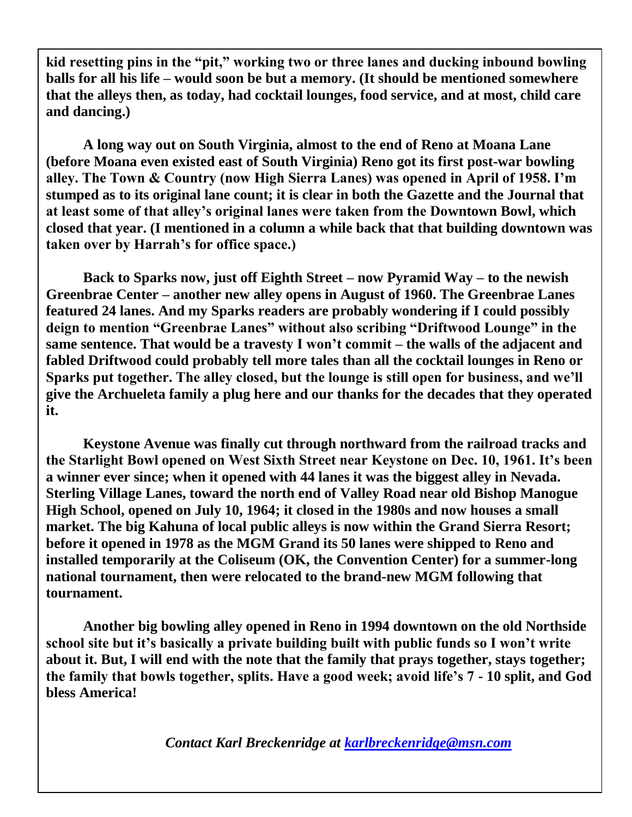**kid resetting pins in the "pit," working two or three lanes and ducking inbound bowling balls for all his life – would soon be but a memory. (It should be mentioned somewhere that the alleys then, as today, had cocktail lounges, food service, and at most, child care and dancing.)**

**A long way out on South Virginia, almost to the end of Reno at Moana Lane (before Moana even existed east of South Virginia) Reno got its first post-war bowling alley. The Town & Country (now High Sierra Lanes) was opened in April of 1958. I"m stumped as to its original lane count; it is clear in both the Gazette and the Journal that at least some of that alley"s original lanes were taken from the Downtown Bowl, which closed that year. (I mentioned in a column a while back that that building downtown was taken over by Harrah"s for office space.)**

**Back to Sparks now, just off Eighth Street – now Pyramid Way – to the newish Greenbrae Center – another new alley opens in August of 1960. The Greenbrae Lanes featured 24 lanes. And my Sparks readers are probably wondering if I could possibly deign to mention "Greenbrae Lanes" without also scribing "Driftwood Lounge" in the same sentence. That would be a travesty I won"t commit – the walls of the adjacent and fabled Driftwood could probably tell more tales than all the cocktail lounges in Reno or Sparks put together. The alley closed, but the lounge is still open for business, and we"ll give the Archueleta family a plug here and our thanks for the decades that they operated it.** 

**Keystone Avenue was finally cut through northward from the railroad tracks and the Starlight Bowl opened on West Sixth Street near Keystone on Dec. 10, 1961. It"s been a winner ever since; when it opened with 44 lanes it was the biggest alley in Nevada. Sterling Village Lanes, toward the north end of Valley Road near old Bishop Manogue High School, opened on July 10, 1964; it closed in the 1980s and now houses a small market. The big Kahuna of local public alleys is now within the Grand Sierra Resort; before it opened in 1978 as the MGM Grand its 50 lanes were shipped to Reno and installed temporarily at the Coliseum (OK, the Convention Center) for a summer-long national tournament, then were relocated to the brand-new MGM following that tournament.**

**Another big bowling alley opened in Reno in 1994 downtown on the old Northside school site but it"s basically a private building built with public funds so I won"t write about it. But, I will end with the note that the family that prays together, stays together; the family that bowls together, splits. Have a good week; avoid life"s 7 - 10 split, and God bless America!**

*Contact Karl Breckenridge at [karlbreckenridge@msn.com](mailto:karlbreckenridge@msn.com)*